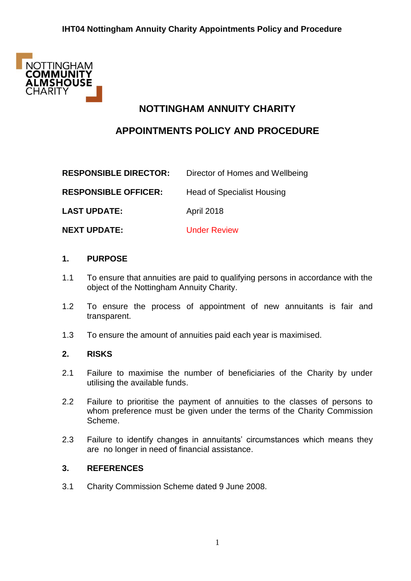

# **NOTTINGHAM ANNUITY CHARITY**

# **APPOINTMENTS POLICY AND PROCEDURE**

| <b>RESPONSIBLE DIRECTOR:</b> | Director of Homes and Wellbeing   |
|------------------------------|-----------------------------------|
| <b>RESPONSIBLE OFFICER:</b>  | <b>Head of Specialist Housing</b> |
| <b>LAST UPDATE:</b>          | <b>April 2018</b>                 |
| <b>NEXT UPDATE:</b>          | <b>Under Review</b>               |

### **1. PURPOSE**

- 1.1 To ensure that annuities are paid to qualifying persons in accordance with the object of the Nottingham Annuity Charity.
- 1.2 To ensure the process of appointment of new annuitants is fair and transparent.
- 1.3 To ensure the amount of annuities paid each year is maximised.

### **2. RISKS**

- 2.1 Failure to maximise the number of beneficiaries of the Charity by under utilising the available funds.
- 2.2 Failure to prioritise the payment of annuities to the classes of persons to whom preference must be given under the terms of the Charity Commission Scheme.
- 2.3 Failure to identify changes in annuitants' circumstances which means they are no longer in need of financial assistance.

### **3. REFERENCES**

3.1 Charity Commission Scheme dated 9 June 2008.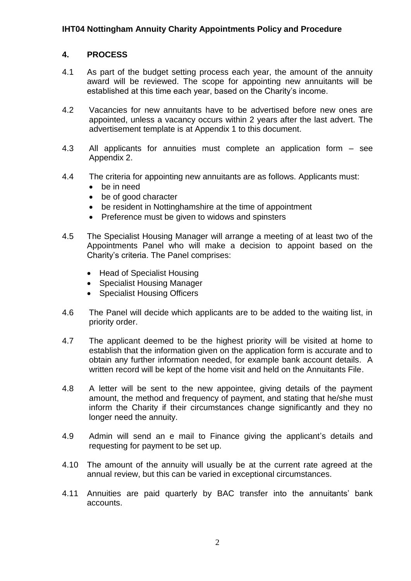### **4. PROCESS**

- 4.1 As part of the budget setting process each year, the amount of the annuity award will be reviewed. The scope for appointing new annuitants will be established at this time each year, based on the Charity's income.
- 4.2 Vacancies for new annuitants have to be advertised before new ones are appointed, unless a vacancy occurs within 2 years after the last advert. The advertisement template is at Appendix 1 to this document.
- 4.3 All applicants for annuities must complete an application form see Appendix 2.
- 4.4 The criteria for appointing new annuitants are as follows. Applicants must:
	- be in need
	- be of good character
	- be resident in Nottinghamshire at the time of appointment
	- Preference must be given to widows and spinsters
- 4.5 The Specialist Housing Manager will arrange a meeting of at least two of the Appointments Panel who will make a decision to appoint based on the Charity's criteria. The Panel comprises:
	- Head of Specialist Housing
	- Specialist Housing Manager
	- Specialist Housing Officers
- 4.6 The Panel will decide which applicants are to be added to the waiting list, in priority order.
- 4.7 The applicant deemed to be the highest priority will be visited at home to establish that the information given on the application form is accurate and to obtain any further information needed, for example bank account details. A written record will be kept of the home visit and held on the Annuitants File.
- 4.8 A letter will be sent to the new appointee, giving details of the payment amount, the method and frequency of payment, and stating that he/she must inform the Charity if their circumstances change significantly and they no longer need the annuity.
- 4.9 Admin will send an e mail to Finance giving the applicant's details and requesting for payment to be set up.
- 4.10 The amount of the annuity will usually be at the current rate agreed at the annual review, but this can be varied in exceptional circumstances.
- 4.11 Annuities are paid quarterly by BAC transfer into the annuitants' bank accounts.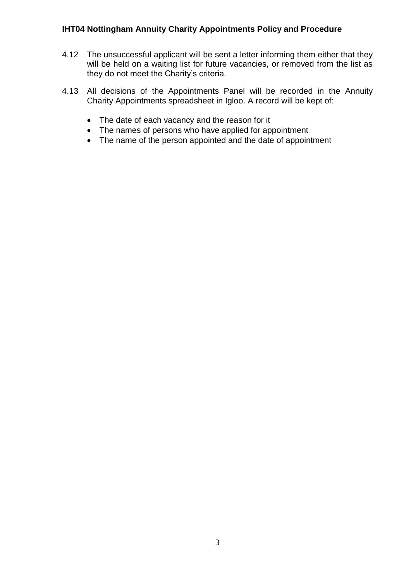- 4.12 The unsuccessful applicant will be sent a letter informing them either that they will be held on a waiting list for future vacancies, or removed from the list as they do not meet the Charity's criteria.
- 4.13 All decisions of the Appointments Panel will be recorded in the Annuity Charity Appointments spreadsheet in Igloo. A record will be kept of:
	- The date of each vacancy and the reason for it
	- The names of persons who have applied for appointment
	- The name of the person appointed and the date of appointment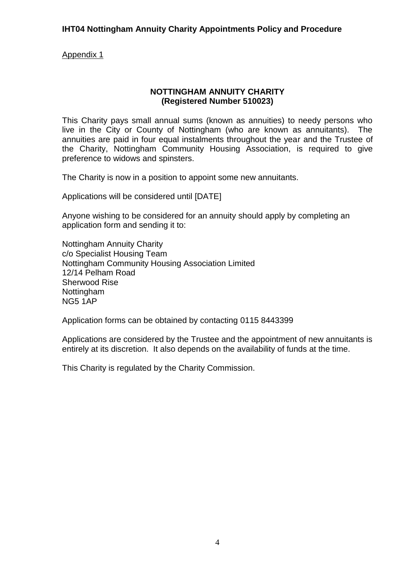Appendix 1

### **NOTTINGHAM ANNUITY CHARITY (Registered Number 510023)**

This Charity pays small annual sums (known as annuities) to needy persons who live in the City or County of Nottingham (who are known as annuitants). The annuities are paid in four equal instalments throughout the year and the Trustee of the Charity, Nottingham Community Housing Association, is required to give preference to widows and spinsters.

The Charity is now in a position to appoint some new annuitants.

Applications will be considered until [DATE]

Anyone wishing to be considered for an annuity should apply by completing an application form and sending it to:

Nottingham Annuity Charity c/o Specialist Housing Team Nottingham Community Housing Association Limited 12/14 Pelham Road Sherwood Rise Nottingham NG5 1AP

Application forms can be obtained by contacting 0115 8443399

Applications are considered by the Trustee and the appointment of new annuitants is entirely at its discretion. It also depends on the availability of funds at the time.

This Charity is regulated by the Charity Commission.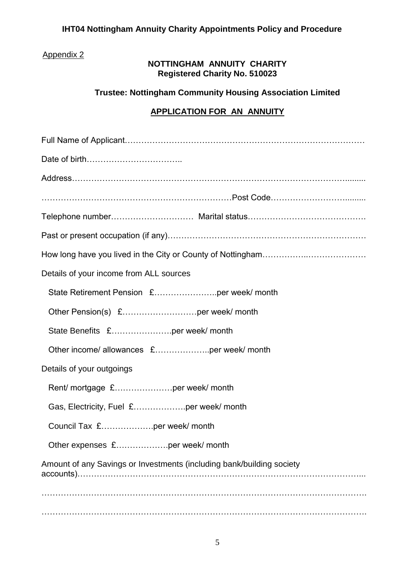# Appendix 2

## **NOTTINGHAM ANNUITY CHARITY Registered Charity No. 510023**

# **Trustee: Nottingham Community Housing Association Limited**

# **APPLICATION FOR AN ANNUITY**

| Details of your income from ALL sources                               |  |
|-----------------------------------------------------------------------|--|
|                                                                       |  |
|                                                                       |  |
| State Benefits £per week/ month                                       |  |
|                                                                       |  |
| Details of your outgoings                                             |  |
| Rent/ mortgage £per week/ month                                       |  |
| Gas, Electricity, Fuel £per week/ month                               |  |
| Council Tax £per week/ month                                          |  |
| Other expenses £per week/ month                                       |  |
| Amount of any Savings or Investments (including bank/building society |  |
|                                                                       |  |
|                                                                       |  |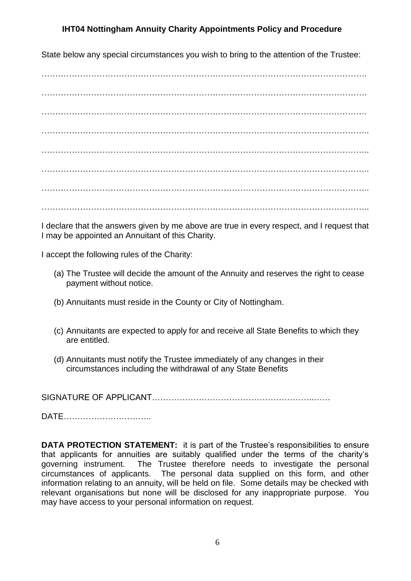State below any special circumstances you wish to bring to the attention of the Trustee:

………………………………………………………………………………………………………. ……………………………………………………………………………………………………….  $\mathcal{L}^{\text{max}}_{\text{max}}$ ………………………………………………………………………………………………………..  $\mathcal{L}^{\text{max}}_{\text{max}}$ ……………………………………………………………………………………………………….. ……………………………………………………………………………………………………….. ………………………………………………………………………………………………………..

I declare that the answers given by me above are true in every respect, and I request that I may be appointed an Annuitant of this Charity.

I accept the following rules of the Charity:

- (a) The Trustee will decide the amount of the Annuity and reserves the right to cease payment without notice.
- (b) Annuitants must reside in the County or City of Nottingham.
- (c) Annuitants are expected to apply for and receive all State Benefits to which they are entitled.
- (d) Annuitants must notify the Trustee immediately of any changes in their circumstances including the withdrawal of any State Benefits

SIGNATURE OF APPLICANT…………………………………………………..……

DATE…………………………..

**DATA PROTECTION STATEMENT:** it is part of the Trustee's responsibilities to ensure that applicants for annuities are suitably qualified under the terms of the charity's governing instrument. The Trustee therefore needs to investigate the personal circumstances of applicants. The personal data supplied on this form, and other information relating to an annuity, will be held on file. Some details may be checked with relevant organisations but none will be disclosed for any inappropriate purpose. You may have access to your personal information on request.